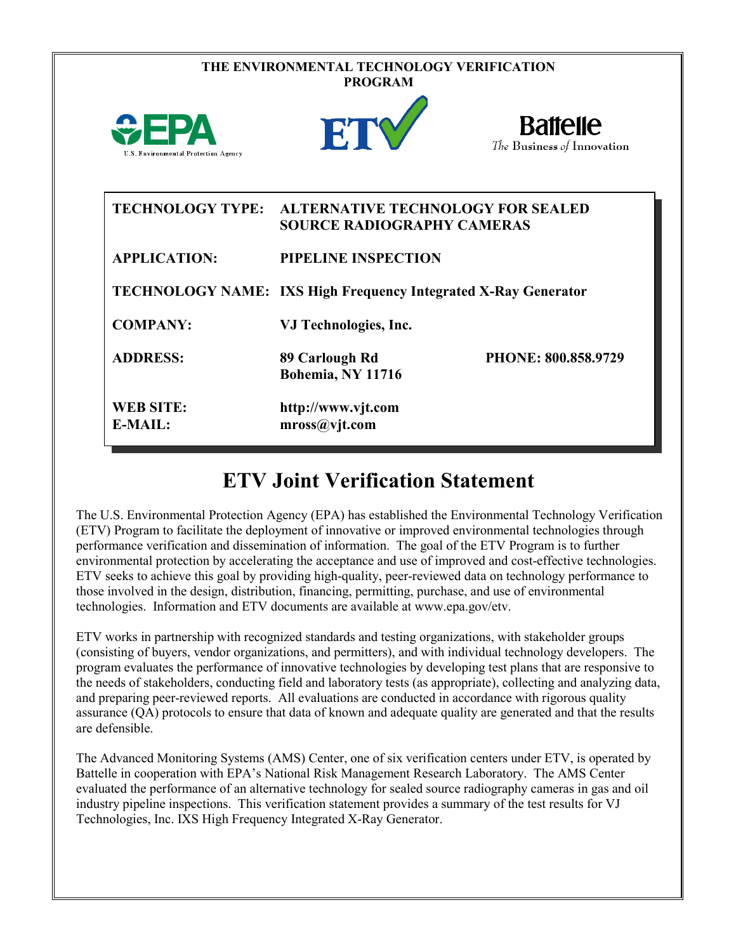| THE ENVIRONMENTAL TECHNOLOGY VERIFICATION<br><b>PROGRAM</b> |                                                                       |                                               |  |  |
|-------------------------------------------------------------|-----------------------------------------------------------------------|-----------------------------------------------|--|--|
| U.S. Environmental Protection Agency                        | ET                                                                    | <b>Battelle</b><br>The Business of Innovation |  |  |
| <b>TECHNOLOGY TYPE:</b>                                     | <b>SOURCE RADIOGRAPHY CAMERAS</b>                                     | <b>ALTERNATIVE TECHNOLOGY FOR SEALED</b>      |  |  |
| <b>APPLICATION:</b>                                         | PIPELINE INSPECTION                                                   |                                               |  |  |
|                                                             | <b>TECHNOLOGY NAME: IXS High Frequency Integrated X-Ray Generator</b> |                                               |  |  |
| <b>COMPANY:</b>                                             | VJ Technologies, Inc.                                                 |                                               |  |  |
| <b>ADDRESS:</b>                                             | 89 Carlough Rd<br>Bohemia, NY 11716                                   | PHONE: 800.858.9729                           |  |  |
| <b>WEB SITE:</b><br>$E-MAIL:$                               | http://www.vjt.com<br>mross@vjt.com                                   |                                               |  |  |

## **ETV Joint Verification Statement**

The U.S. Environmental Protection Agency (EPA) has established the Environmental Technology Verification (ETV) Program to facilitate the deployment of innovative or improved environmental technologies through performance verification and dissemination of information. The goal of the ETV Program is to further environmental protection by accelerating the acceptance and use of improved and cost-effective technologies. ETV seeks to achieve this goal by providing high-quality, peer-reviewed data on technology performance to those involved in the design, distribution, financing, permitting, purchase, and use of environmental technologies. Information and ETV documents are available at www.epa.gov/etv.

ETV works in partnership with recognized standards and testing organizations, with stakeholder groups (consisting of buyers, vendor organizations, and permitters), and with individual technology developers. The program evaluates the performance of innovative technologies by developing test plans that are responsive to the needs of stakeholders, conducting field and laboratory tests (as appropriate), collecting and analyzing data, and preparing peer-reviewed reports. All evaluations are conducted in accordance with rigorous quality assurance (QA) protocols to ensure that data of known and adequate quality are generated and that the results are defensible.

The Advanced Monitoring Systems (AMS) Center, one of six verification centers under ETV, is operated by Battelle in cooperation with EPA's National Risk Management Research Laboratory. The AMS Center evaluated the performance of an alternative technology for sealed source radiography cameras in gas and oil industry pipeline inspections. This verification statement provides a summary of the test results for VJ Technologies, Inc. IXS High Frequency Integrated X-Ray Generator.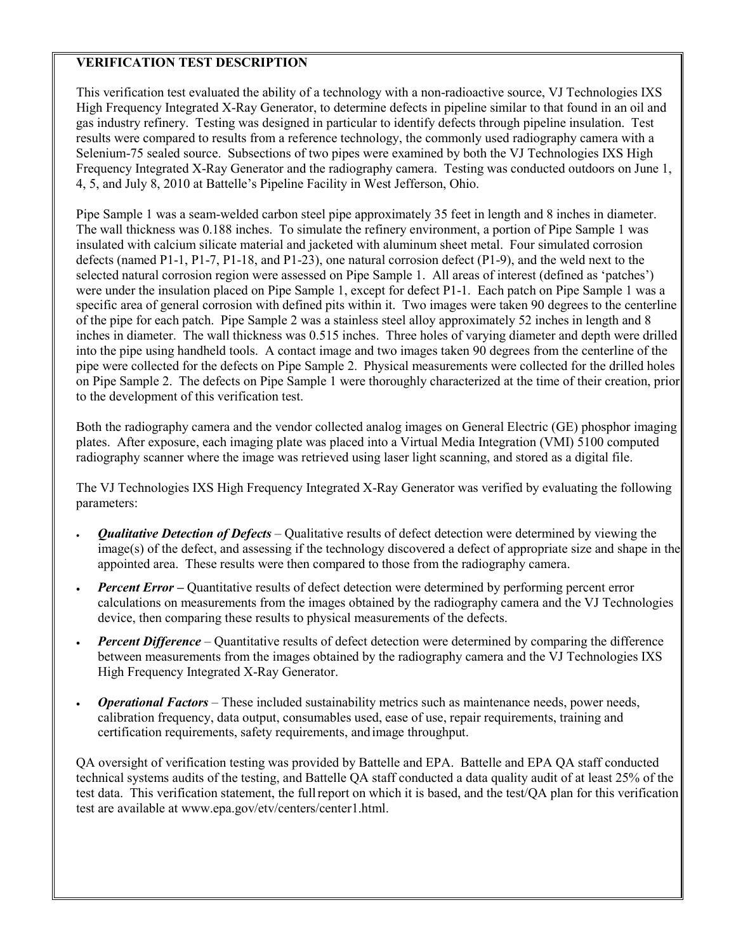## **VERIFICATION TEST DESCRIPTION**

This verification test evaluated the ability of a technology with a non-radioactive source, VJ Technologies IXS High Frequency Integrated X-Ray Generator, to determine defects in pipeline similar to that found in an oil and gas industry refinery. Testing was designed in particular to identify defects through pipeline insulation. Test results were compared to results from a reference technology, the commonly used radiography camera with a Selenium-75 sealed source. Subsections of two pipes were examined by both the VJ Technologies IXS High Frequency Integrated X-Ray Generator and the radiography camera. Testing was conducted outdoors on June 1, 4, 5, and July 8, 2010 at Battelle's Pipeline Facility in West Jefferson, Ohio.

Pipe Sample 1 was a seam-welded carbon steel pipe approximately 35 feet in length and 8 inches in diameter. The wall thickness was 0.188 inches. To simulate the refinery environment, a portion of Pipe Sample 1 was insulated with calcium silicate material and jacketed with aluminum sheet metal. Four simulated corrosion defects (named P1-1, P1-7, P1-18, and P1-23), one natural corrosion defect (P1-9), and the weld next to the selected natural corrosion region were assessed on Pipe Sample 1. All areas of interest (defined as 'patches') were under the insulation placed on Pipe Sample 1, except for defect P1-1. Each patch on Pipe Sample 1 was a specific area of general corrosion with defined pits within it. Two images were taken 90 degrees to the centerline of the pipe for each patch. Pipe Sample 2 was a stainless steel alloy approximately 52 inches in length and 8 inches in diameter. The wall thickness was 0.515 inches. Three holes of varying diameter and depth were drilled into the pipe using handheld tools. A contact image and two images taken 90 degrees from the centerline of the pipe were collected for the defects on Pipe Sample 2. Physical measurements were collected for the drilled holes on Pipe Sample 2. The defects on Pipe Sample 1 were thoroughly characterized at the time of their creation, prior to the development of this verification test.

Both the radiography camera and the vendor collected analog images on General Electric (GE) phosphor imaging plates. After exposure, each imaging plate was placed into a Virtual Media Integration (VMI) 5100 computed radiography scanner where the image was retrieved using laser light scanning, and stored as a digital file.

The VJ Technologies IXS High Frequency Integrated X-Ray Generator was verified by evaluating the following parameters:

- *Qualitative Detection of Defects* Qualitative results of defect detection were determined by viewing the image(s) of the defect, and assessing if the technology discovered a defect of appropriate size and shape in the appointed area. These results were then compared to those from the radiography camera.
- *Percent Error* Quantitative results of defect detection were determined by performing percent error calculations on measurements from the images obtained by the radiography camera and the VJ Technologies device, then comparing these results to physical measurements of the defects.
- *Percent Difference* Quantitative results of defect detection were determined by comparing the difference between measurements from the images obtained by the radiography camera and the VJ Technologies IXS High Frequency Integrated X-Ray Generator.
- *Operational Factors* These included sustainability metrics such as maintenance needs, power needs, calibration frequency, data output, consumables used, ease of use, repair requirements, training and certification requirements, safety requirements, andimage throughput.

QA oversight of verification testing was provided by Battelle and EPA. Battelle and EPA QA staff conducted technical systems audits of the testing, and Battelle QA staff conducted a data quality audit of at least 25% of the test data. This verification statement, the fullreport on which it is based, and the test/QA plan for this verification test are available at www.epa.gov/etv/centers/center1.html.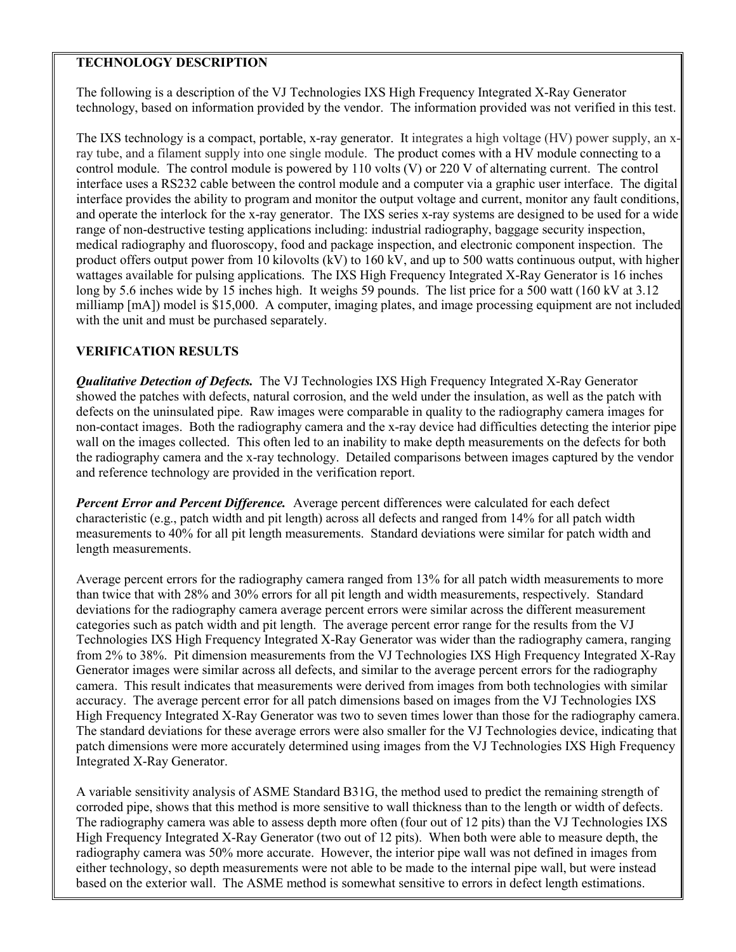## **TECHNOLOGY DESCRIPTION**

The following is a description of the VJ Technologies IXS High Frequency Integrated X-Ray Generator technology, based on information provided by the vendor. The information provided was not verified in this test.

The IXS technology is a compact, portable, x-ray generator. It integrates a high voltage (HV) power supply, an xray tube, and a filament supply into one single module. The product comes with a HV module connecting to a control module. The control module is powered by 110 volts (V) or 220 V of alternating current. The control interface uses a RS232 cable between the control module and a computer via a graphic user interface. The digital interface provides the ability to program and monitor the output voltage and current, monitor any fault conditions, and operate the interlock for the x-ray generator. The IXS series x-ray systems are designed to be used for a wide range of non-destructive testing applications including: industrial radiography, baggage security inspection, medical radiography and fluoroscopy, food and package inspection, and electronic component inspection. The product offers output power from 10 kilovolts (kV) to 160 kV, and up to 500 watts continuous output, with higher wattages available for pulsing applications. The IXS High Frequency Integrated X-Ray Generator is 16 inches long by 5.6 inches wide by 15 inches high. It weighs 59 pounds. The list price for a 500 watt (160 kV at 3.12 milliamp [mA]) model is \$15,000. A computer, imaging plates, and image processing equipment are not included with the unit and must be purchased separately.

## **VERIFICATION RESULTS**

*Qualitative Detection of Defects.* The VJ Technologies IXS High Frequency Integrated X-Ray Generator showed the patches with defects, natural corrosion, and the weld under the insulation, as well as the patch with defects on the uninsulated pipe. Raw images were comparable in quality to the radiography camera images for non-contact images. Both the radiography camera and the x-ray device had difficulties detecting the interior pipe wall on the images collected. This often led to an inability to make depth measurements on the defects for both the radiography camera and the x-ray technology. Detailed comparisons between images captured by the vendor and reference technology are provided in the verification report.

*Percent Error and Percent Difference.* Average percent differences were calculated for each defect characteristic (e.g., patch width and pit length) across all defects and ranged from 14% for all patch width measurements to 40% for all pit length measurements. Standard deviations were similar for patch width and length measurements.

Average percent errors for the radiography camera ranged from 13% for all patch width measurements to more than twice that with 28% and 30% errors for all pit length and width measurements, respectively. Standard deviations for the radiography camera average percent errors were similar across the different measurement categories such as patch width and pit length. The average percent error range for the results from the VJ Technologies IXS High Frequency Integrated X-Ray Generator was wider than the radiography camera, ranging from 2% to 38%. Pit dimension measurements from the VJ Technologies IXS High Frequency Integrated X-Ray Generator images were similar across all defects, and similar to the average percent errors for the radiography camera. This result indicates that measurements were derived from images from both technologies with similar accuracy. The average percent error for all patch dimensions based on images from the VJ Technologies IXS High Frequency Integrated X-Ray Generator was two to seven times lower than those for the radiography camera. The standard deviations for these average errors were also smaller for the VJ Technologies device, indicating that patch dimensions were more accurately determined using images from the VJ Technologies IXS High Frequency Integrated X-Ray Generator.

A variable sensitivity analysis of ASME Standard B31G, the method used to predict the remaining strength of corroded pipe, shows that this method is more sensitive to wall thickness than to the length or width of defects. The radiography camera was able to assess depth more often (four out of 12 pits) than the VJ Technologies IXS High Frequency Integrated X-Ray Generator (two out of 12 pits). When both were able to measure depth, the radiography camera was 50% more accurate. However, the interior pipe wall was not defined in images from either technology, so depth measurements were not able to be made to the internal pipe wall, but were instead based on the exterior wall. The ASME method is somewhat sensitive to errors in defect length estimations.